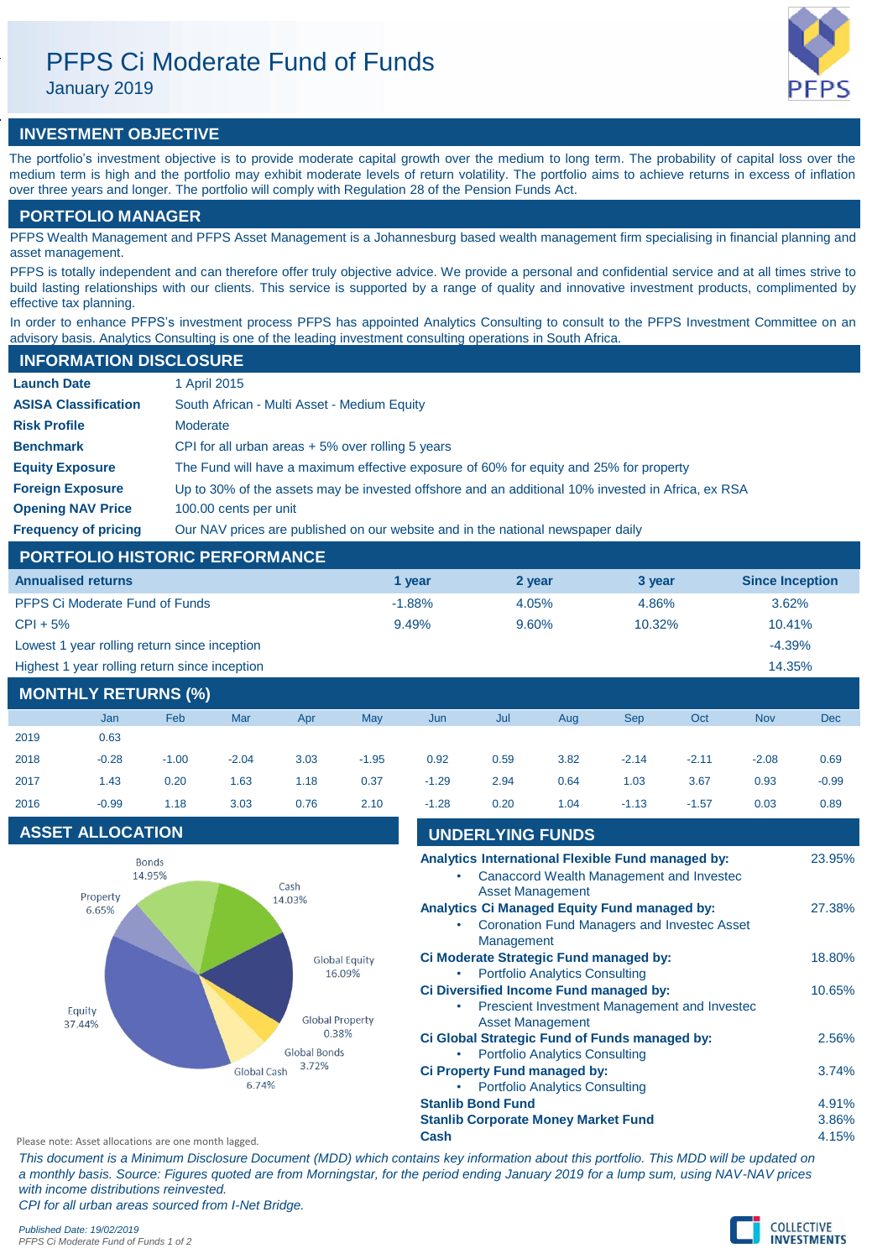# PFPS Ci Moderate Fund of Funds

January 2019

# **INVESTMENT OBJECTIVE**

The portfolio's investment objective is to provide moderate capital growth over the medium to long term. The probability of capital loss over the medium term is high and the portfolio may exhibit moderate levels of return volatility. The portfolio aims to achieve returns in excess of inflation over three years and longer. The portfolio will comply with Regulation 28 of the Pension Funds Act.

# **PORTFOLIO MANAGER**

PFPS Wealth Management and PFPS Asset Management is a Johannesburg based wealth management firm specialising in financial planning and asset management.

PFPS is totally independent and can therefore offer truly objective advice. We provide a personal and confidential service and at all times strive to build lasting relationships with our clients. This service is supported by a range of quality and innovative investment products, complimented by effective tax planning.

In order to enhance PFPS's investment process PFPS has appointed Analytics Consulting to consult to the PFPS Investment Committee on an advisory basis. Analytics Consulting is one of the leading investment consulting operations in South Africa.

# **INFORMATION DISCLOSURE**

| <b>Launch Date</b>          | 1 April 2015                                                                                      |
|-----------------------------|---------------------------------------------------------------------------------------------------|
|                             |                                                                                                   |
| <b>ASISA Classification</b> | South African - Multi Asset - Medium Equity                                                       |
| <b>Risk Profile</b>         | Moderate                                                                                          |
| <b>Benchmark</b>            | CPI for all urban areas $+5\%$ over rolling 5 years                                               |
| <b>Equity Exposure</b>      | The Fund will have a maximum effective exposure of 60% for equity and 25% for property            |
| <b>Foreign Exposure</b>     | Up to 30% of the assets may be invested offshore and an additional 10% invested in Africa, ex RSA |
| <b>Opening NAV Price</b>    | 100.00 cents per unit                                                                             |
| <b>Frequency of pricing</b> | Our NAV prices are published on our website and in the national newspaper daily                   |

# **PORTFOLIO HISTORIC PERFORMANCE**

| <b>Annualised returns</b>                               | 1 year   | 2 year | 3 year | <b>Since Inception</b> |  |  |  |
|---------------------------------------------------------|----------|--------|--------|------------------------|--|--|--|
| <b>PFPS Ci Moderate Fund of Funds</b>                   | $-1.88%$ | 4.05%  | 4.86%  | 3.62%                  |  |  |  |
| $CPI + 5%$                                              | 9.49%    | 9.60%  | 10.32% | 10.41%                 |  |  |  |
| Lowest 1 year rolling return since inception            |          |        |        | $-4.39%$               |  |  |  |
| Highest 1 year rolling return since inception<br>14.35% |          |        |        |                        |  |  |  |
| <b>MONTHLY RETURNS (%)</b>                              |          |        |        |                        |  |  |  |

|      | Jan     | Feb     | Mar     | Apr  | May     | Jun     | Jul  | Aug  | <b>Sep</b> | Oct     | <b>Nov</b> | <b>Dec</b> |
|------|---------|---------|---------|------|---------|---------|------|------|------------|---------|------------|------------|
| 2019 | 0.63    |         |         |      |         |         |      |      |            |         |            |            |
| 2018 | $-0.28$ | $-1.00$ | $-2.04$ | 3.03 | $-1.95$ | 0.92    | 0.59 | 3.82 | $-2.14$    | $-2.11$ | $-2.08$    | 0.69       |
| 2017 | 1.43    | 0.20    | 1.63    | 1.18 | 0.37    | $-1.29$ | 2.94 | 0.64 | 1.03       | 3.67    | 0.93       | $-0.99$    |
| 2016 | $-0.99$ | 1.18    | 3.03    | 0.76 | 2.10    | $-1.28$ | 0.20 | 1.04 | $-1.13$    | $-1.57$ | 0.03       | 0.89       |

# **ASSET ALLOCATION**



| <b>UNDERLYING FUNDS</b>                                                 |        |
|-------------------------------------------------------------------------|--------|
| Analytics International Flexible Fund managed by:                       | 23.95% |
| Canaccord Wealth Management and Investec<br><b>Asset Management</b>     |        |
| <b>Analytics Ci Managed Equity Fund managed by:</b>                     | 27.38% |
| <b>Coronation Fund Managers and Invested Asset</b><br>Management        |        |
| Ci Moderate Strategic Fund managed by:                                  | 18.80% |
| <b>Portfolio Analytics Consulting</b>                                   |        |
| Ci Diversified Income Fund managed by:                                  | 10.65% |
| Prescient Investment Management and Invested<br><b>Asset Management</b> |        |
| Ci Global Strategic Fund of Funds managed by:                           | 2.56%  |
| <b>Portfolio Analytics Consulting</b>                                   |        |
| Ci Property Fund managed by:                                            | 3.74%  |
| <b>Portfolio Analytics Consulting</b>                                   |        |
| <b>Stanlib Bond Fund</b>                                                | 4.91%  |
| <b>Stanlib Corporate Money Market Fund</b>                              | 3.86%  |
| Cach                                                                    | A 4E0L |

Please note: Asset allocations are one month lagged. **Cash** 4.15%

*This document is a Minimum Disclosure Document (MDD) which contains key information about this portfolio. This MDD will be updated on a monthly basis. Source: Figures quoted are from Morningstar, for the period ending January 2019 for a lump sum, using NAV-NAV prices with income distributions reinvested. CPI for all urban areas sourced from I-Net Bridge.*